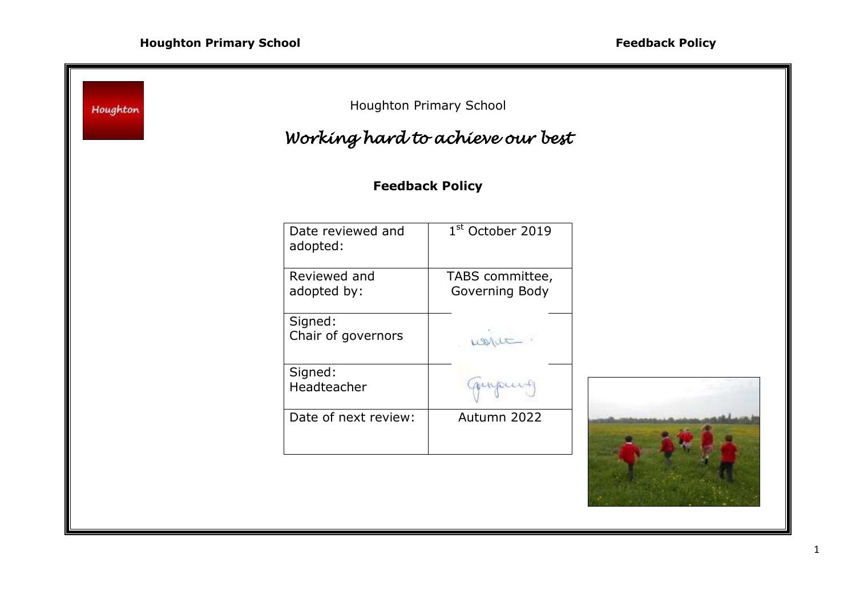